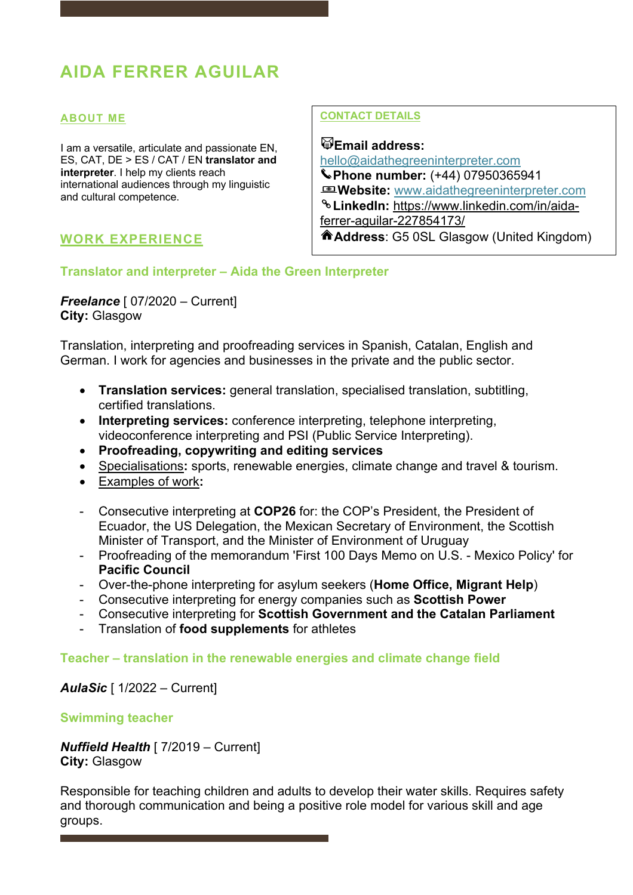# **AIDA FERRER AGUILAR**

#### **ABOUT ME**

I am a versatile, articulate and passionate EN, ES, CAT, DE > ES / CAT / EN **translator and interpreter**. I help my clients reach international audiences through my linguistic and cultural competence.

### **WORK EXPERIENCE**

#### **CONTACT DETAILS**

**Email address:**  hello@aidathegreeninterpreter.com **Phone number:** (+44) 07950365941 **Website:** www.aidathegreeninterpreter.com **LinkedIn:** https://www.linkedin.com/in/aidaferrer-aguilar-227854173/ **Address**: G5 0SL Glasgow (United Kingdom)

### **Translator and interpreter – Aida the Green Interpreter**

*Freelance* [ 07/2020 – Current] **City:** Glasgow

Translation, interpreting and proofreading services in Spanish, Catalan, English and German. I work for agencies and businesses in the private and the public sector.

- **Translation services:** general translation, specialised translation, subtitling, certified translations.
- **Interpreting services:** conference interpreting, telephone interpreting, videoconference interpreting and PSI (Public Service Interpreting).
- **Proofreading, copywriting and editing services**
- Specialisations**:** sports, renewable energies, climate change and travel & tourism.
- Examples of work**:**
- Consecutive interpreting at **COP26** for: the COP's President, the President of Ecuador, the US Delegation, the Mexican Secretary of Environment, the Scottish Minister of Transport, and the Minister of Environment of Uruguay
- Proofreading of the memorandum 'First 100 Days Memo on U.S. Mexico Policy' for **Pacific Council**
- Over-the-phone interpreting for asylum seekers (**Home Office, Migrant Help**)
- Consecutive interpreting for energy companies such as **Scottish Power**
- Consecutive interpreting for **Scottish Government and the Catalan Parliament**
- Translation of **food supplements** for athletes

### **Teacher – translation in the renewable energies and climate change field**

### *AulaSic* [ 1/2022 – Current]

#### **Swimming teacher**

*Nuffield Health* [ 7/2019 – Current] **City:** Glasgow

Responsible for teaching children and adults to develop their water skills. Requires safety and thorough communication and being a positive role model for various skill and age groups.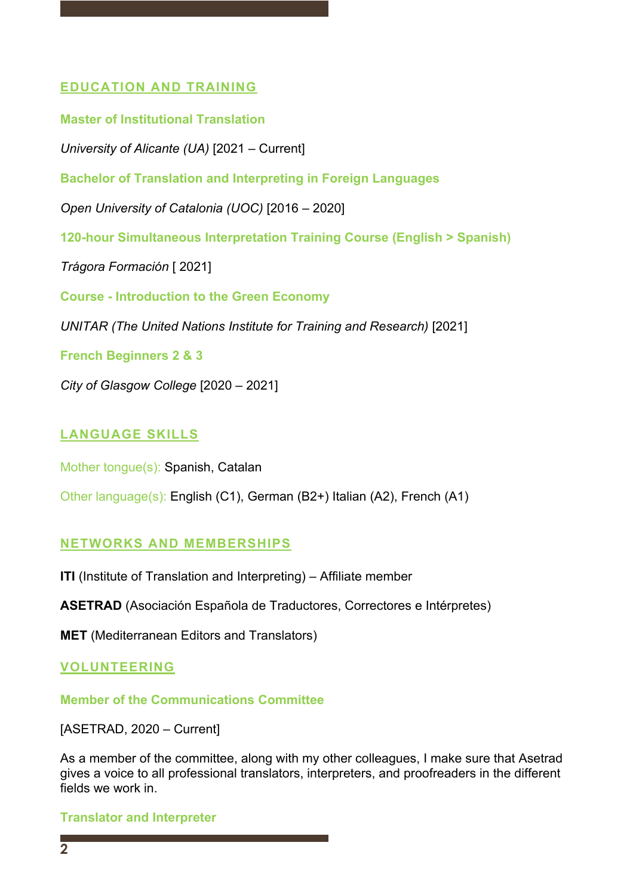# **EDUCATION AND TRAINING**

**Master of Institutional Translation**  *University of Alicante (UA)* [2021 – Current] **Bachelor of Translation and Interpreting in Foreign Languages**  *Open University of Catalonia (UOC)* [2016 – 2020] **120-hour Simultaneous Interpretation Training Course (English > Spanish)** *Trágora Formación* [ 2021] **Course - Introduction to the Green Economy**  *UNITAR (The United Nations Institute for Training and Research)* [2021] **French Beginners 2 & 3**  *City of Glasgow College* [2020 – 2021]

# **LANGUAGE SKILLS**

Mother tongue(s): Spanish, Catalan

Other language(s): English (C1), German (B2+) Italian (A2), French (A1)

### **NETWORKS AND MEMBERSHIPS**

**ITI** (Institute of Translation and Interpreting) – Affiliate member

**ASETRAD** (Asociación Española de Traductores, Correctores e Intérpretes)

**MET** (Mediterranean Editors and Translators)

### **VOLUNTEERING**

**Member of the Communications Committee** 

[ASETRAD, 2020 – Current]

As a member of the committee, along with my other colleagues, I make sure that Asetrad gives a voice to all professional translators, interpreters, and proofreaders in the different fields we work in.

**Translator and Interpreter**